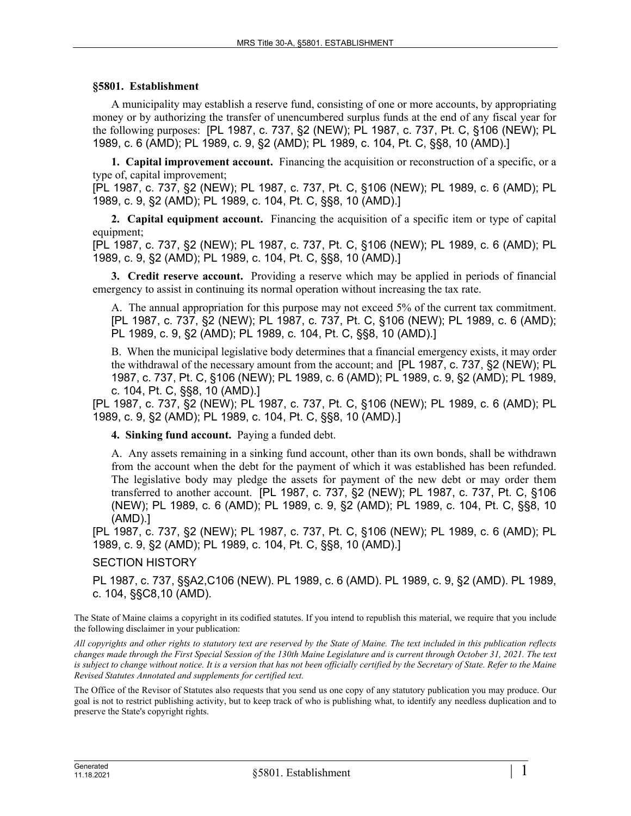## **§5801. Establishment**

A municipality may establish a reserve fund, consisting of one or more accounts, by appropriating money or by authorizing the transfer of unencumbered surplus funds at the end of any fiscal year for the following purposes: [PL 1987, c. 737, §2 (NEW); PL 1987, c. 737, Pt. C, §106 (NEW); PL 1989, c. 6 (AMD); PL 1989, c. 9, §2 (AMD); PL 1989, c. 104, Pt. C, §§8, 10 (AMD).]

**1. Capital improvement account.** Financing the acquisition or reconstruction of a specific, or a type of, capital improvement;

[PL 1987, c. 737, §2 (NEW); PL 1987, c. 737, Pt. C, §106 (NEW); PL 1989, c. 6 (AMD); PL 1989, c. 9, §2 (AMD); PL 1989, c. 104, Pt. C, §§8, 10 (AMD).]

**2. Capital equipment account.** Financing the acquisition of a specific item or type of capital equipment;

[PL 1987, c. 737, §2 (NEW); PL 1987, c. 737, Pt. C, §106 (NEW); PL 1989, c. 6 (AMD); PL 1989, c. 9, §2 (AMD); PL 1989, c. 104, Pt. C, §§8, 10 (AMD).]

**3. Credit reserve account.** Providing a reserve which may be applied in periods of financial emergency to assist in continuing its normal operation without increasing the tax rate.

A. The annual appropriation for this purpose may not exceed 5% of the current tax commitment. [PL 1987, c. 737, §2 (NEW); PL 1987, c. 737, Pt. C, §106 (NEW); PL 1989, c. 6 (AMD); PL 1989, c. 9, §2 (AMD); PL 1989, c. 104, Pt. C, §§8, 10 (AMD).]

B. When the municipal legislative body determines that a financial emergency exists, it may order the withdrawal of the necessary amount from the account; and [PL 1987, c. 737, §2 (NEW); PL 1987, c. 737, Pt. C, §106 (NEW); PL 1989, c. 6 (AMD); PL 1989, c. 9, §2 (AMD); PL 1989, c. 104, Pt. C, §§8, 10 (AMD).]

[PL 1987, c. 737, §2 (NEW); PL 1987, c. 737, Pt. C, §106 (NEW); PL 1989, c. 6 (AMD); PL 1989, c. 9, §2 (AMD); PL 1989, c. 104, Pt. C, §§8, 10 (AMD).]

**4. Sinking fund account.** Paying a funded debt.

A. Any assets remaining in a sinking fund account, other than its own bonds, shall be withdrawn from the account when the debt for the payment of which it was established has been refunded. The legislative body may pledge the assets for payment of the new debt or may order them transferred to another account. [PL 1987, c. 737, §2 (NEW); PL 1987, c. 737, Pt. C, §106 (NEW); PL 1989, c. 6 (AMD); PL 1989, c. 9, §2 (AMD); PL 1989, c. 104, Pt. C, §§8, 10 (AMD).]

[PL 1987, c. 737, §2 (NEW); PL 1987, c. 737, Pt. C, §106 (NEW); PL 1989, c. 6 (AMD); PL 1989, c. 9, §2 (AMD); PL 1989, c. 104, Pt. C, §§8, 10 (AMD).]

SECTION HISTORY

PL 1987, c. 737, §§A2,C106 (NEW). PL 1989, c. 6 (AMD). PL 1989, c. 9, §2 (AMD). PL 1989, c. 104, §§C8,10 (AMD).

The State of Maine claims a copyright in its codified statutes. If you intend to republish this material, we require that you include the following disclaimer in your publication:

*All copyrights and other rights to statutory text are reserved by the State of Maine. The text included in this publication reflects changes made through the First Special Session of the 130th Maine Legislature and is current through October 31, 2021. The text*  is subject to change without notice. It is a version that has not been officially certified by the Secretary of State. Refer to the Maine *Revised Statutes Annotated and supplements for certified text.*

The Office of the Revisor of Statutes also requests that you send us one copy of any statutory publication you may produce. Our goal is not to restrict publishing activity, but to keep track of who is publishing what, to identify any needless duplication and to preserve the State's copyright rights.